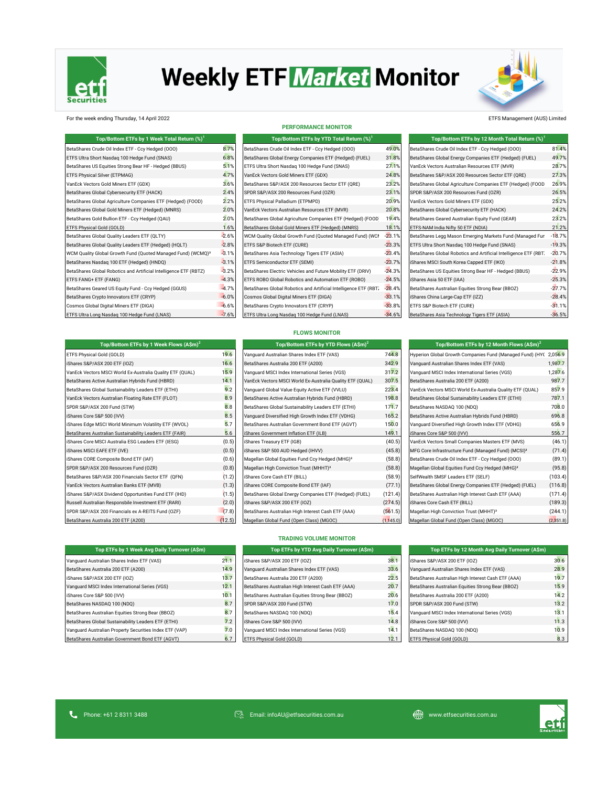

# **Weekly ETF Market Monitor**



### For the week ending Thursday, 14 April 2022 ETFS Management (AUS) Limited

| Top/Bottom ETFs by 1 Week Total Return (%) <sup>1</sup>                  |         | Top/Bottom ETFs by YTD Total Return (%) <sup>1</sup>             |          | Top/Bottom ETFs by 12 Month Total Return (%) <sup>1</sup>        |          |  |
|--------------------------------------------------------------------------|---------|------------------------------------------------------------------|----------|------------------------------------------------------------------|----------|--|
| BetaShares Crude Oil Index ETF - Ccy Hedged (OOO)                        | 8.7%    | BetaShares Crude Oil Index ETF - Ccy Hedged (000)                | 49.0%    | BetaShares Crude Oil Index ETF - Ccy Hedged (000)                | 81.4%    |  |
| ETFS Ultra Short Nasdag 100 Hedge Fund (SNAS)                            | 6.8%    | BetaShares Global Energy Companies ETF (Hedged) (FUEL)           | 31.8%    | BetaShares Global Energy Companies ETF (Hedged) (FUEL)           | 49.7%    |  |
| BetaShares US Equities Strong Bear HF - Hedged (BBUS)                    | 5.1%    | ETFS Ultra Short Nasdag 100 Hedge Fund (SNAS)                    | 27.1%    | VanEck Vectors Australian Resources ETF (MVR)                    | 28.7%    |  |
| ETFS Physical Silver (ETPMAG)                                            | 4.7%    | VanEck Vectors Gold Miners ETF (GDX)                             | 24.8%    | BetaShares S&P/ASX 200 Resources Sector ETF (QRE)                | 27.3%    |  |
| VanEck Vectors Gold Miners ETF (GDX)                                     | 3.6%    | BetaShares S&P/ASX 200 Resources Sector ETF (QRE)                | 23.2%    | BetaShares Global Agriculture Companies ETF (Hedged) (FOOD       | 26.9%    |  |
| BetaShares Global Cybersecurity ETF (HACK)                               | 2.4%    | SPDR S&P/ASX 200 Resources Fund (OZR)                            | 23.1%    | SPDR S&P/ASX 200 Resources Fund (OZR)                            | 26.5%    |  |
| BetaShares Global Agriculture Companies ETF (Hedged) (FOOD)              | 2.2%    | ETFS Physical Palladium (ETPMPD)                                 | 20.9%    | VanEck Vectors Gold Miners ETF (GDX)                             | 25.2%    |  |
| BetaShares Global Gold Miners ETF (Hedged) (MNRS)                        | 2.0%    | VanEck Vectors Australian Resources ETF (MVR)                    | 20.8%    | BetaShares Global Cybersecurity ETF (HACK)                       | 24.2%    |  |
| BetaShares Gold Bullion ETF - Ccy Hedged (QAU)                           | 2.0%    | BetaShares Global Agriculture Companies ETF (Hedged) (FOOD       | 19.4%    | BetaShares Geared Australian Equity Fund (GEAR)                  | 23.2%    |  |
| ETFS Physical Gold (GOLD)                                                | 1.6%    | BetaShares Global Gold Miners ETF (Hedged) (MNRS)                | 18.1%    | ETFS-NAM India Nifty 50 ETF (NDIA)                               | 21.2%    |  |
| BetaShares Global Quality Leaders ETF (QLTY)                             | $-2.6%$ | WCM Quality Global Growth Fund (Quoted Managed Fund) (WCI        | $-23.1%$ | BetaShares Legg Mason Emerging Markets Fund (Managed Fun         | $-18.7%$ |  |
| BetaShares Global Quality Leaders ETF (Hedged) (HQLT)                    | $-2.8%$ | ETFS S&P Biotech ETF (CURE)                                      | $-23.3%$ | ETFS Ultra Short Nasdag 100 Hedge Fund (SNAS)                    | $-19.3%$ |  |
| WCM Quality Global Growth Fund (Quoted Managed Fund) (WCMQ) <sup>3</sup> | $-3.1%$ | BetaShares Asia Technology Tigers ETF (ASIA)                     | $-23.4%$ | BetaShares Global Robotics and Artificial Intelligence ETF (RBT) | $-20.7%$ |  |
| BetaShares Nasdaq 100 ETF (Hedged) (HNDQ)                                | $-3.1%$ | ETFS Semiconductor ETF (SEMI)                                    | $-23.7%$ | iShares MSCI South Korea Capped ETF (IKO)                        | $-21.8%$ |  |
| BetaShares Global Robotics and Artificial Intelligence ETF (RBTZ)        | $-3.2%$ | BetaShares Electric Vehicles and Future Mobility ETF (DRIV)      | $-24.3%$ | BetaShares US Equities Strong Bear HF - Hedged (BBUS)            | $-22.9%$ |  |
| ETFS FANG+ ETF (FANG)                                                    | $-4.3%$ | ETFS ROBO Global Robotics and Automation ETF (ROBO)              | $-24.5%$ | iShares Asia 50 ETF (IAA)                                        | $-25.3%$ |  |
| BetaShares Geared US Equity Fund - Ccy Hedged (GGUS)                     | $-4.7%$ | BetaShares Global Robotics and Artificial Intelligence ETF (RBT) | $-28.4%$ | BetaShares Australian Equities Strong Bear (BBOZ)                | $-27.7%$ |  |
| BetaShares Crypto Innovators ETF (CRYP)                                  | $-6.0%$ | Cosmos Global Digital Miners ETF (DIGA)                          | $-33.1%$ | iShares China Large-Cap ETF (IZZ)                                | $-28.4%$ |  |
| Cosmos Global Digital Miners ETF (DIGA)                                  | $-6.6%$ | BetaShares Crypto Innovators ETF (CRYP)                          | $-33.8%$ | ETFS S&P Biotech ETF (CURE)                                      | $-31.1%$ |  |
| ETFS Ultra Long Nasdaq 100 Hedge Fund (LNAS)                             | $-7.6%$ | ETFS Ultra Long Nasdaq 100 Hedge Fund (LNAS)                     | $-34.6%$ | BetaShares Asia Technology Tigers ETF (ASIA)                     | $-36.5%$ |  |

| <b>PERFORMANCE MONITOR</b>                                       |                |
|------------------------------------------------------------------|----------------|
| Top/Bottom ETFs by YTD Total Return (%) <sup>1</sup>             |                |
| BetaShares Crude Oil Index ETF - Ccy Hedged (000)                | 49.09          |
| BetaShares Global Energy Companies ETF (Hedged) (FUEL)           | 31.89          |
| ETFS Ultra Short Nasdag 100 Hedge Fund (SNAS)                    | 27.19          |
| VanEck Vectors Gold Miners ETF (GDX)                             | $24.8^{\circ}$ |
| BetaShares S&P/ASX 200 Resources Sector ETF (ORE)                | 23.29          |
| SPDR S&P/ASX 200 Resources Fund (OZR)                            | 23.19          |
| ETFS Physical Palladium (ETPMPD)                                 | 20.99          |
| VanEck Vectors Australian Resources ETF (MVR)                    | 20.89          |
| BetaShares Global Agriculture Companies ETF (Hedged) (FOOD       | 19.49          |
| BetaShares Global Gold Miners ETF (Hedged) (MNRS)                | 18.19          |
| WCM Quality Global Growth Fund (Quoted Managed Fund) (WCI        | $-23.19$       |
| ETFS S&P Biotech ETF (CURE)                                      | $-23.39$       |
| BetaShares Asia Technology Tigers ETF (ASIA)                     | $-23.49$       |
| ETFS Semiconductor ETF (SEMI)                                    | $-23.79$       |
| BetaShares Electric Vehicles and Future Mobility ETF (DRIV)      | $-24.39$       |
| ETFS ROBO Global Robotics and Automation ETF (ROBO)              | $-24.59$       |
| BetaShares Global Robotics and Artificial Intelligence ETF (RBT) | $-28.49$       |
| Cosmos Global Digital Miners ETF (DIGA)                          | $-33.19$       |
| BetaShares Crypto Innovators ETF (CRYP)                          | $-33.89$       |
| ETFS Ultra Long Nasdag 100 Hedge Fund (LNAS)                     | $-34.69$       |

| Top/Bottom ETFs by 12 Month Total Return (%) <sup>1</sup>        |          |
|------------------------------------------------------------------|----------|
| BetaShares Crude Oil Index ETF - Ccy Hedged (000)                | 81.4%    |
| BetaShares Global Energy Companies ETF (Hedged) (FUEL)           | 49.7%    |
| VanEck Vectors Australian Resources ETF (MVR)                    | 28.7%    |
| BetaShares S&P/ASX 200 Resources Sector ETF (QRE)                | 27.3%    |
| BetaShares Global Agriculture Companies ETF (Hedged) (FOOD       | 26.9%    |
| SPDR S&P/ASX 200 Resources Fund (OZR)                            | 26.5%    |
| VanEck Vectors Gold Miners ETF (GDX)                             | 25.2%    |
| BetaShares Global Cybersecurity ETF (HACK)                       | 24.2%    |
| BetaShares Geared Australian Equity Fund (GEAR)                  | 23.2%    |
| ETFS-NAM India Nifty 50 ETF (NDIA)                               | 21.2%    |
| BetaShares Legg Mason Emerging Markets Fund (Managed Fun         | $-18.7%$ |
| ETFS Ultra Short Nasdag 100 Hedge Fund (SNAS)                    | $-19.3%$ |
| BetaShares Global Robotics and Artificial Intelligence ETF (RBT) | $-20.7%$ |
| iShares MSCI South Korea Capped ETF (IKO)                        | $-21.8%$ |
| BetaShares US Equities Strong Bear HF - Hedged (BBUS)            | $-22.9%$ |
| iShares Asia 50 ETF (IAA)                                        | $-25.3%$ |
| BetaShares Australian Equities Strong Bear (BBOZ)                | $-27.7%$ |
| iShares China Large-Cap ETF (IZZ)                                | $-28.4%$ |
| ETFS S&P Biotech ETF (CURE)                                      | $-31.1%$ |
| BetaShares Asia Technology Tigers ETF (ASIA)                     | $-36.5%$ |

| Top/Bottom ETFs by 1 Week Flows (A\$m) <sup>2</sup>       |        | Top/Bottom ETFs by YTD Flows (A\$m) <sup>2</sup>            |           | Top/Bottom ETFs by 12 Month Flows $(A\sin)^2$                     |           |  |
|-----------------------------------------------------------|--------|-------------------------------------------------------------|-----------|-------------------------------------------------------------------|-----------|--|
| ETFS Physical Gold (GOLD)                                 | 19.6   | Vanquard Australian Shares Index ETF (VAS)                  | 744.8     | Hyperion Global Growth Companies Fund (Managed Fund) (HYC 2,056.9 |           |  |
| iShares S&P/ASX 200 ETF (IOZ)                             | 16.6   | BetaShares Australia 200 ETF (A200)                         | 342.9     | Vanquard Australian Shares Index ETF (VAS)                        | 1,987.7   |  |
| VanEck Vectors MSCI World Ex-Australia Quality ETF (QUAL) | 15.9   | Vanguard MSCI Index International Series (VGS)              | 317.2     | Vanguard MSCI Index International Series (VGS)                    | 1,287.6   |  |
| BetaShares Active Australian Hybrids Fund (HBRD)          | 14.1   | VanEck Vectors MSCI World Ex-Australia Quality ETF (QUAL)   | 307.5     | BetaShares Australia 200 ETF (A200)                               | 987.7     |  |
| BetaShares Global Sustainability Leaders ETF (ETHI)       | 9.2    | Vanquard Global Value Equity Active ETF (VVLU)              | 223.4     | VanEck Vectors MSCI World Ex-Australia Quality ETF (QUAL)         | 857.9     |  |
| VanEck Vectors Australian Floating Rate ETF (FLOT)        | 8.9    | BetaShares Active Australian Hybrids Fund (HBRD)            | 198.8     | BetaShares Global Sustainability Leaders ETF (ETHI)               | 787.1     |  |
| SPDR S&P/ASX 200 Fund (STW)                               | 8.8    | BetaShares Global Sustainability Leaders ETF (ETHI)         | 171.7     | BetaShares NASDAQ 100 (NDQ)                                       | 708.0     |  |
| iShares Core S&P 500 (IVV)                                | 8.5    | Vanquard Diversified High Growth Index ETF (VDHG)           | 165.2     | BetaShares Active Australian Hybrids Fund (HBRD)                  | 696.8     |  |
| iShares Edge MSCI World Minimum Volatility ETF (WVOL)     | 5.7    | BetaShares Australian Government Bond ETF (AGVT)            | 150.0     | Vanguard Diversified High Growth Index ETF (VDHG)                 | 656.9     |  |
| BetaShares Australian Sustainability Leaders ETF (FAIR)   | 5.6    | iShares Government Inflation ETF (ILB)                      | 149.1     | iShares Core S&P 500 (IVV)                                        | 556.7     |  |
| iShares Core MSCI Australia ESG Leaders ETF (IESG)        | (0.5)  | iShares Treasury ETF (IGB)                                  | (40.5)    | VanEck Vectors Small Companies Masters ETF (MVS)                  | (46.1)    |  |
| iShares MSCI EAFE ETF (IVE)                               | (0.5)  | iShares S&P 500 AUD Hedged (IHVV)                           | (45.8)    | MFG Core Infrastructure Fund (Managed Fund) (MCSI) <sup>3</sup>   | (71.4)    |  |
| iShares CORE Composite Bond ETF (IAF)                     | (0.6)  | Magellan Global Equities Fund Ccy Hedged (MHG) <sup>3</sup> | (58.8)    | BetaShares Crude Oil Index ETF - Ccy Hedged (000)                 | (89.1)    |  |
| SPDR S&P/ASX 200 Resources Fund (OZR)                     | (0.8)  | Magellan High Conviction Trust (MHHT) <sup>3</sup>          | (58.8)    | Magellan Global Equities Fund Ccy Hedged (MHG) <sup>3</sup>       | (95.8)    |  |
| BetaShares S&P/ASX 200 Financials Sector ETF (QFN)        | (1.2)  | iShares Core Cash ETF (BILL)                                | (58.9)    | SelfWealth SMSF Leaders ETF (SELF)                                | (103.4)   |  |
| VanEck Vectors Australian Banks ETF (MVB)                 | (1.3)  | iShares CORE Composite Bond ETF (IAF)                       | (77.1)    | BetaShares Global Energy Companies ETF (Hedged) (FUEL)            | (116.8)   |  |
| iShares S&P/ASX Dividend Opportunities Fund ETF (IHD)     | (1.5)  | BetaShares Global Energy Companies ETF (Hedged) (FUEL)      | (121.4)   | BetaShares Australian High Interest Cash ETF (AAA)                | (171.4)   |  |
| Russell Australian Responsbile Investment ETF (RARI)      | (2.0)  | iShares S&P/ASX 200 ETF (IOZ)                               | (274.5)   | iShares Core Cash ETF (BILL)                                      | (189.3)   |  |
| SPDR S&P/ASX 200 Financials ex A-REITS Fund (OZF)         | (7.8)  | BetaShares Australian High Interest Cash ETF (AAA)          | (561.5)   | Magellan High Conviction Trust (MHHT) <sup>3</sup>                | (244.1)   |  |
| BetaShares Australia 200 FTF (A200)                       | (12.5) | Magellan Global Fund (Open Class) (MGOC)                    | (1.145.0) | Magellan Global Fund (Open Class) (MGOC)                          | (2.351.8) |  |

| <b>FLOWS MONITOR</b> |  |  |
|----------------------|--|--|
|                      |  |  |

| Top/Bottom ETFs by YTD Flows (A\$m) <sup>2</sup>            |         |
|-------------------------------------------------------------|---------|
| Vanquard Australian Shares Index ETF (VAS)                  | 744.    |
| BetaShares Australia 200 ETF (A200)                         | 342.9   |
| Vanquard MSCI Index International Series (VGS)              | 317.2   |
| VanEck Vectors MSCI World Ex-Australia Quality ETF (QUAL)   | 307.5   |
| Vanguard Global Value Equity Active ETF (VVLU)              | 223.4   |
| BetaShares Active Australian Hybrids Fund (HBRD)            | 198.    |
| BetaShares Global Sustainability Leaders ETF (ETHI)         | 171.    |
| Vanquard Diversified High Growth Index ETF (VDHG)           | 165.    |
| BetaShares Australian Government Bond ETF (AGVT)            | 150.0   |
| iShares Government Inflation ETF (ILB)                      | 149.7   |
| iShares Treasury ETF (IGB)                                  | (40.5)  |
| iShares S&P 500 AUD Hedged (IHVV)                           | (45.1)  |
| Magellan Global Equities Fund Ccy Hedged (MHG) <sup>3</sup> | (58.1)  |
| Magellan High Conviction Trust (MHHT) <sup>3</sup>          | (58.1)  |
| iShares Core Cash ETF (BILL)                                | (58.9)  |
| iShares CORE Composite Bond ETF (IAF)                       | (77.7)  |
| BetaShares Global Energy Companies ETF (Hedged) (FUEL)      | (121.   |
| iShares S&P/ASX 200 ETF (IOZ)                               | (274.   |
| BetaShares Australian High Interest Cash ETF (AAA)          | (561.   |
| Magellan Global Fund (Open Class) (MGOC)                    | (1.145. |

| Top/Bottom ETFs by 12 Month Flows (A\$m) <sup>2</sup>             |           |
|-------------------------------------------------------------------|-----------|
| Hyperion Global Growth Companies Fund (Managed Fund) (HYC 2,056.9 |           |
| Vanguard Australian Shares Index ETF (VAS)                        | 1,987.7   |
| Vanquard MSCI Index International Series (VGS)                    | 1,287.6   |
| BetaShares Australia 200 ETF (A200)                               | 987.7     |
| VanEck Vectors MSCI World Ex-Australia Quality ETF (QUAL)         | 857.9     |
| BetaShares Global Sustainability Leaders ETF (ETHI)               | 787.1     |
| BetaShares NASDAQ 100 (NDQ)                                       | 708.0     |
| BetaShares Active Australian Hybrids Fund (HBRD)                  | 696.8     |
| Vanguard Diversified High Growth Index ETF (VDHG)                 | 656.9     |
| iShares Core S&P 500 (IVV)                                        | 556.7     |
| VanEck Vectors Small Companies Masters ETF (MVS)                  | (46.1)    |
| MFG Core Infrastructure Fund (Managed Fund) (MCSI) <sup>3</sup>   | (71.4)    |
| BetaShares Crude Oil Index ETF - Ccy Hedged (000)                 | (89.1)    |
| Magellan Global Equities Fund Ccy Hedged (MHG) <sup>3</sup>       | (95.8)    |
| SelfWealth SMSF Leaders ETF (SELF)                                | (103.4)   |
| BetaShares Global Energy Companies ETF (Hedged) (FUEL)            | (116.8)   |
| BetaShares Australian High Interest Cash ETF (AAA)                | (171.4)   |
| iShares Core Cash ETF (BILL)                                      | (189.3)   |
| Magellan High Conviction Trust (MHHT) <sup>3</sup>                | (244.1)   |
| Magellan Global Fund (Open Class) (MGOC)                          | (2,351.8) |

### **TRADING VOLUME MONITOR**

| Top ETFs by 1 Week Avg Daily Turnover (A\$m)            |      | Top ETFs by YTD Avg Daily Turnover (A\$m)          |      | Top ETFs by 12 Month Avg Daily Turnover (A\$m)     |      |
|---------------------------------------------------------|------|----------------------------------------------------|------|----------------------------------------------------|------|
| Vanguard Australian Shares Index ETF (VAS)              | 21.1 | iShares S&P/ASX 200 ETF (IOZ)                      | 38.1 | iShares S&P/ASX 200 ETF (IOZ)                      | 30.6 |
| BetaShares Australia 200 ETF (A200)                     | 14.9 | Vanquard Australian Shares Index ETF (VAS)         | 33.6 | Vanquard Australian Shares Index ETF (VAS)         | 28.9 |
| iShares S&P/ASX 200 ETF (IOZ)                           | 13.7 | BetaShares Australia 200 ETF (A200)                | 22.5 | BetaShares Australian High Interest Cash ETF (AAA) | 19.7 |
| Vanquard MSCI Index International Series (VGS)          | 12.1 | BetaShares Australian High Interest Cash ETF (AAA) | 20.7 | BetaShares Australian Equities Strong Bear (BBOZ)  | 15.9 |
| iShares Core S&P 500 (IVV)                              | 10.1 | BetaShares Australian Equities Strong Bear (BBOZ)  | 20.6 | BetaShares Australia 200 ETF (A200)                | 14.2 |
| BetaShares NASDAQ 100 (NDQ)                             | 8.7  | SPDR S&P/ASX 200 Fund (STW)                        | 17.0 | SPDR S&P/ASX 200 Fund (STW)                        | 13.2 |
| BetaShares Australian Equities Strong Bear (BBOZ)       | 8.7  | BetaShares NASDAQ 100 (NDQ)                        | 15.4 | Vanquard MSCI Index International Series (VGS)     | 13.1 |
| BetaShares Global Sustainability Leaders ETF (ETHI)     | 7.2  | iShares Core S&P 500 (IVV)                         | 14.8 | iShares Core S&P 500 (IVV)                         | 11.3 |
| Vanquard Australian Property Securities Index ETF (VAP) | 7.0  | Vanquard MSCI Index International Series (VGS)     | 14.1 | BetaShares NASDAQ 100 (NDQ)                        | 10.9 |
| BetaShares Australian Government Bond ETF (AGVT)        | 6.7  | ETFS Physical Gold (GOLD)                          | 12.1 | <b>ETFS Physical Gold (GOLD)</b>                   | 8.3  |